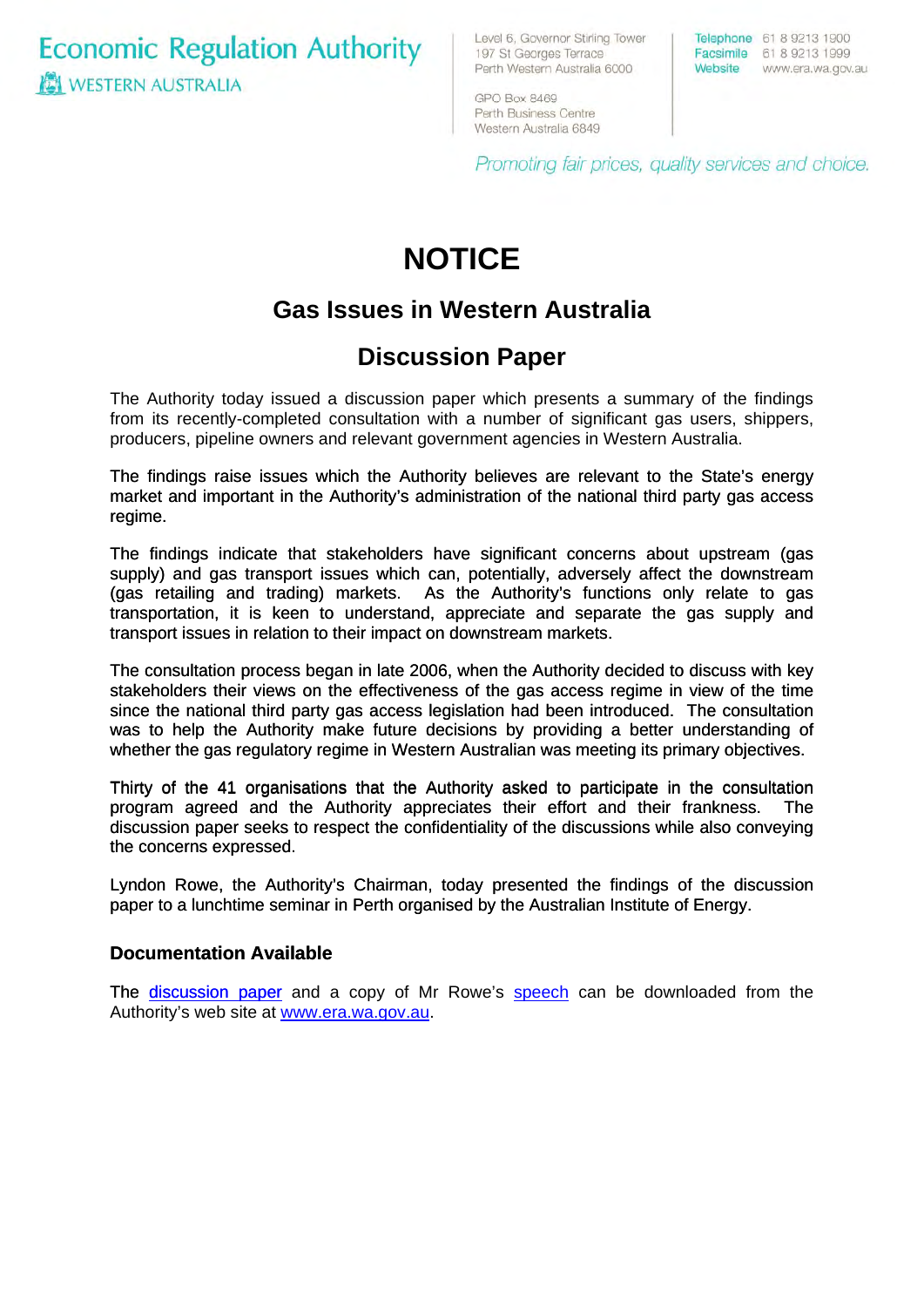**Economic Regulation Authority IS WESTERN AUSTRALIA** 

Level 6, Governor Stirling Tower 197 St Georges Terrace Perth Western Australia 6000

Telephone 61 8 9213 1900 Facsimile 61 8 9213 1999 Website www.era.wa.gov.au

GPO Box 8469 Perth Business Centre Western Australia 6849

Promoting fair prices, quality services and choice.

# **NOTICE**

## **Gas Issues in Western Australia**

### **Discussion Paper**

The Authority today issued a discussion paper which presents a summary of the findings from its recently-completed consultation with a number of significant gas users, shippers, producers, pipeline owners and relevant government agencies in Western Australia.

The findings raise issues which the Authority believes are relevant to the State's energy market and important in the Authority's administration of the national third party gas access regime.

The findings indicate that stakeholders have significant concerns about upstream (gas supply) and gas transport issues which can, potentially, adversely affect the downstream (gas retailing and trading) markets. As the Authority's functions only relate to gas transportation, it is keen to understand, appreciate and separate the gas supply and transport issues in relation to their impact on downstream markets.

The consultation process began in late 2006, when the Authority decided to discuss with key stakeholders their views on the effectiveness of the gas access regime in view of the time since the national third party gas access legislation had been introduced. The consultation was to help the Authority make future decisions by providing a better understanding of whether the gas regulatory regime in Western Australian was meeting its primary objectives.

Thirty of the 41 organisations that the Authority asked to participate in the consultation program agreed and the Authority appreciates their effort and their frankness. The discussion paper seeks to respect the confidentiality of the discussions while also conveying the concerns expressed.

Lyndon Rowe, the Authority's Chairman, today presented the findings of the discussion paper to a lunchtime seminar in Perth organised by the Australian Institute of Energy.

### **Documentation Available**

[The discussion paper](http://www.era.wa.gov.au/cproot/5665/25631/20070613%20Discussion%20Paper%20-%20Gas%20Issues%20in%20Western%20Australia%20June%202007.pdf) and a copy of Mr Rowe's [speech](http://www.era.wa.gov.au/cproot/5664/25628/20070613%20Gas%20Issues%20in%20Western%20Australia%20-%20Presentation%20to%20the%20AIE%20Perth%20WA.pdf) can be downloaded from the [Authority's web site at www.era.wa.gov.au.](http://www.era.wa.gov.au/)